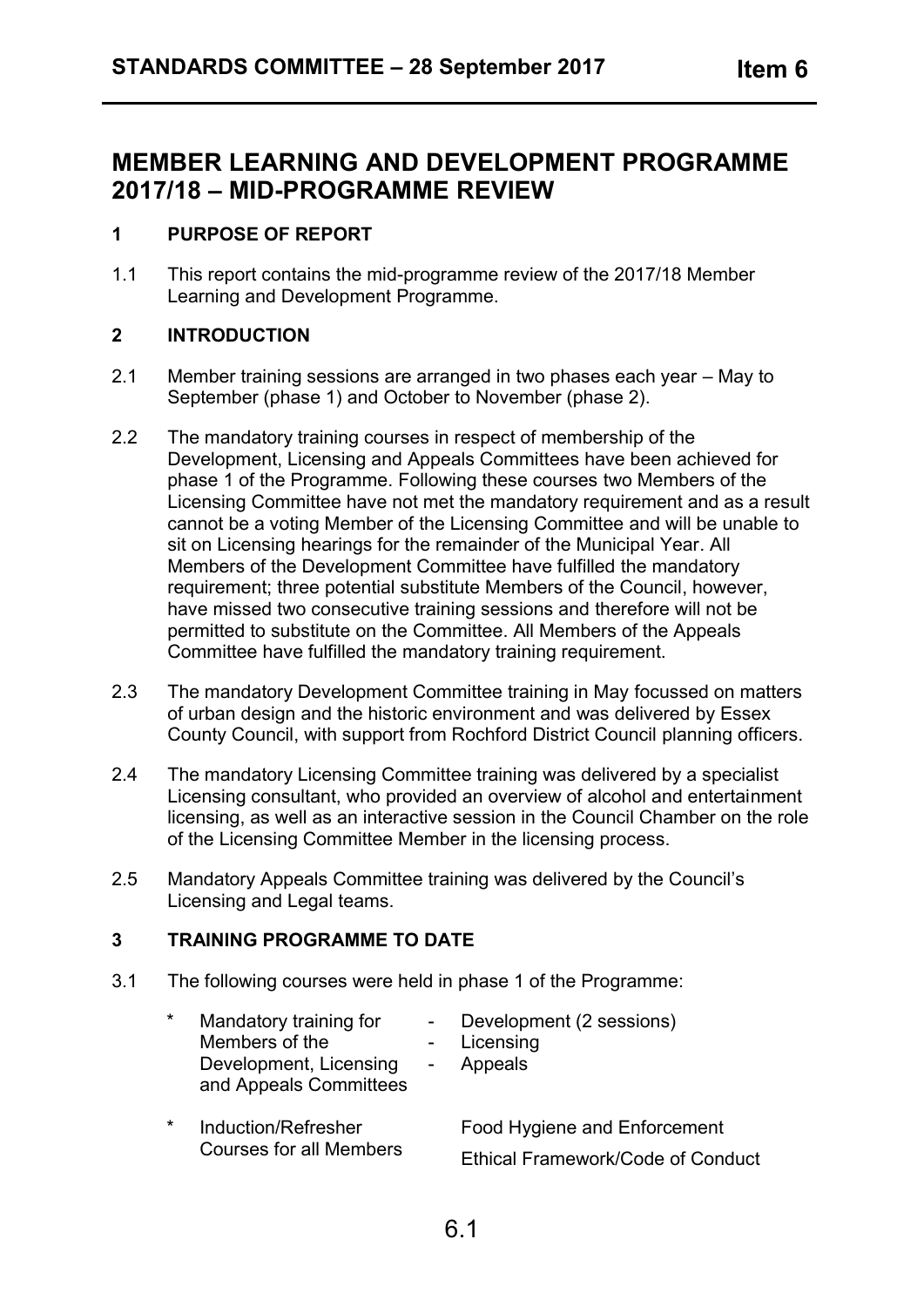# **MEMBER LEARNING AND DEVELOPMENT PROGRAMME 2017/18 – MID-PROGRAMME REVIEW**

# **1 PURPOSE OF REPORT**

1.1 This report contains the mid-programme review of the 2017/18 Member Learning and Development Programme.

# **2 INTRODUCTION**

- 2.1 Member training sessions are arranged in two phases each year May to September (phase 1) and October to November (phase 2).
- 2.2 The mandatory training courses in respect of membership of the Development, Licensing and Appeals Committees have been achieved for phase 1 of the Programme. Following these courses two Members of the Licensing Committee have not met the mandatory requirement and as a result cannot be a voting Member of the Licensing Committee and will be unable to sit on Licensing hearings for the remainder of the Municipal Year. All Members of the Development Committee have fulfilled the mandatory requirement; three potential substitute Members of the Council, however, have missed two consecutive training sessions and therefore will not be permitted to substitute on the Committee. All Members of the Appeals Committee have fulfilled the mandatory training requirement.
- 2.3 The mandatory Development Committee training in May focussed on matters of urban design and the historic environment and was delivered by Essex County Council, with support from Rochford District Council planning officers.
- 2.4 The mandatory Licensing Committee training was delivered by a specialist Licensing consultant, who provided an overview of alcohol and entertainment licensing, as well as an interactive session in the Council Chamber on the role of the Licensing Committee Member in the licensing process.
- 2.5 Mandatory Appeals Committee training was delivered by the Council's Licensing and Legal teams.

# **3 TRAINING PROGRAMME TO DATE**

3.1 The following courses were held in phase 1 of the Programme:

| * | Mandatory training for<br>Members of the<br>Development, Licensing<br>and Appeals Committees | Development (2 sessions)<br>Licensing<br>Appeals |
|---|----------------------------------------------------------------------------------------------|--------------------------------------------------|
| * | Induction/Refresher<br><b>Courses for all Members</b>                                        | Food Hygiene and Enforcement                     |
|   |                                                                                              | <b>Ethical Framework/Code of Conduct</b>         |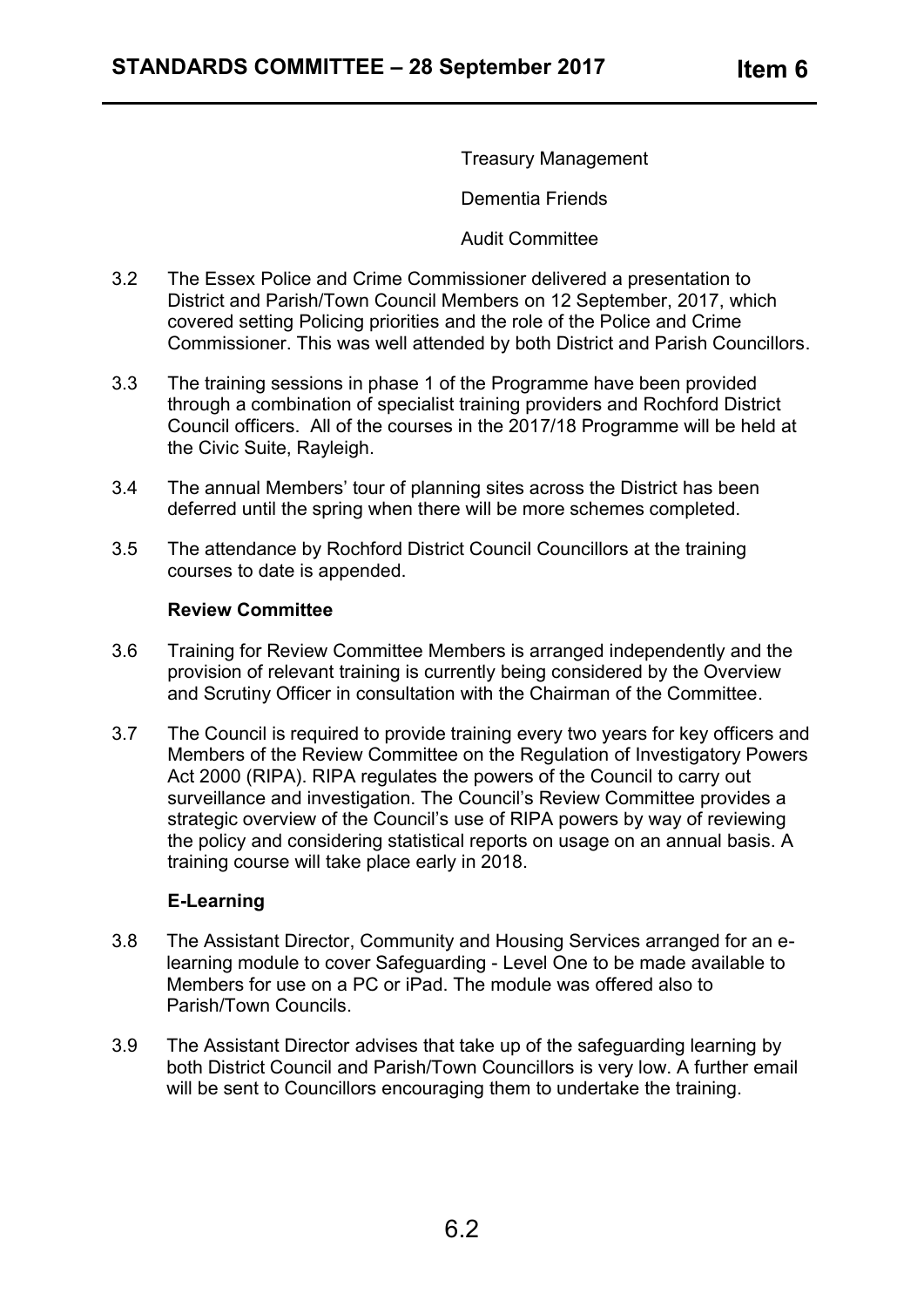Treasury Management

Dementia Friends

Audit Committee

- 3.2 The Essex Police and Crime Commissioner delivered a presentation to District and Parish/Town Council Members on 12 September, 2017, which covered setting Policing priorities and the role of the Police and Crime Commissioner. This was well attended by both District and Parish Councillors.
- 3.3 The training sessions in phase 1 of the Programme have been provided through a combination of specialist training providers and Rochford District Council officers. All of the courses in the 2017/18 Programme will be held at the Civic Suite, Rayleigh.
- 3.4 The annual Members' tour of planning sites across the District has been deferred until the spring when there will be more schemes completed.
- 3.5 The attendance by Rochford District Council Councillors at the training courses to date is appended.

#### **Review Committee**

- 3.6 Training for Review Committee Members is arranged independently and the provision of relevant training is currently being considered by the Overview and Scrutiny Officer in consultation with the Chairman of the Committee.
- 3.7 The Council is required to provide training every two years for key officers and Members of the Review Committee on the Regulation of Investigatory Powers Act 2000 (RIPA). RIPA regulates the powers of the Council to carry out surveillance and investigation. The Council's Review Committee provides a strategic overview of the Council's use of RIPA powers by way of reviewing the policy and considering statistical reports on usage on an annual basis. A training course will take place early in 2018.

# **E-Learning**

- 3.8 The Assistant Director, Community and Housing Services arranged for an elearning module to cover Safeguarding - Level One to be made available to Members for use on a PC or iPad. The module was offered also to Parish/Town Councils.
- 3.9 The Assistant Director advises that take up of the safeguarding learning by both District Council and Parish/Town Councillors is very low. A further email will be sent to Councillors encouraging them to undertake the training.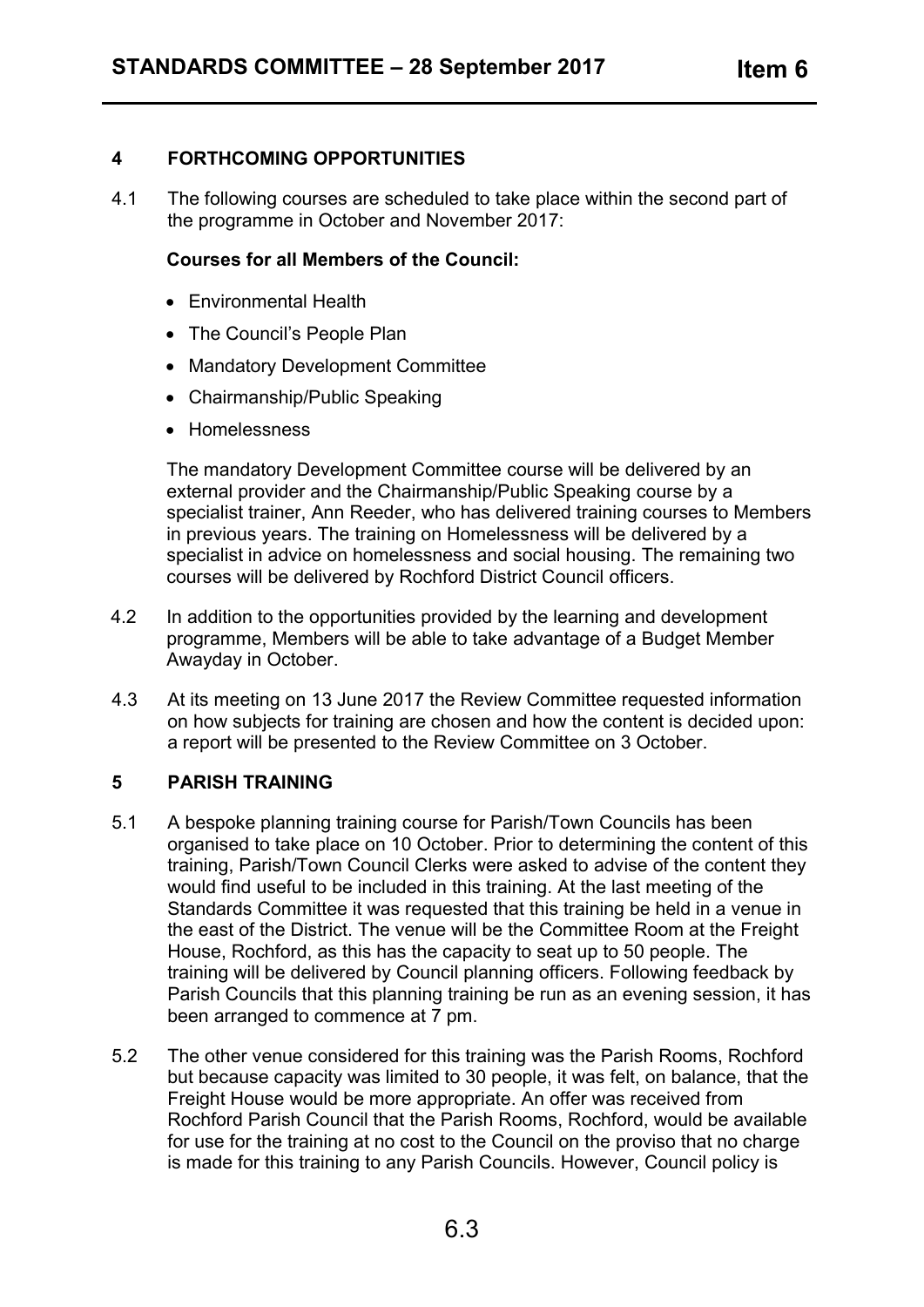#### **4 FORTHCOMING OPPORTUNITIES**

4.1 The following courses are scheduled to take place within the second part of the programme in October and November 2017:

#### **Courses for all Members of the Council:**

- Environmental Health
- The Council's People Plan
- Mandatory Development Committee
- Chairmanship/Public Speaking
- Homelessness

The mandatory Development Committee course will be delivered by an external provider and the Chairmanship/Public Speaking course by a specialist trainer, Ann Reeder, who has delivered training courses to Members in previous years. The training on Homelessness will be delivered by a specialist in advice on homelessness and social housing. The remaining two courses will be delivered by Rochford District Council officers.

- 4.2 In addition to the opportunities provided by the learning and development programme, Members will be able to take advantage of a Budget Member Awayday in October.
- 4.3 At its meeting on 13 June 2017 the Review Committee requested information on how subjects for training are chosen and how the content is decided upon: a report will be presented to the Review Committee on 3 October.

# **5 PARISH TRAINING**

- 5.1 A bespoke planning training course for Parish/Town Councils has been organised to take place on 10 October. Prior to determining the content of this training, Parish/Town Council Clerks were asked to advise of the content they would find useful to be included in this training. At the last meeting of the Standards Committee it was requested that this training be held in a venue in the east of the District. The venue will be the Committee Room at the Freight House, Rochford, as this has the capacity to seat up to 50 people. The training will be delivered by Council planning officers. Following feedback by Parish Councils that this planning training be run as an evening session, it has been arranged to commence at 7 pm.
- 5.2 The other venue considered for this training was the Parish Rooms, Rochford but because capacity was limited to 30 people, it was felt, on balance, that the Freight House would be more appropriate. An offer was received from Rochford Parish Council that the Parish Rooms, Rochford, would be available for use for the training at no cost to the Council on the proviso that no charge is made for this training to any Parish Councils. However, Council policy is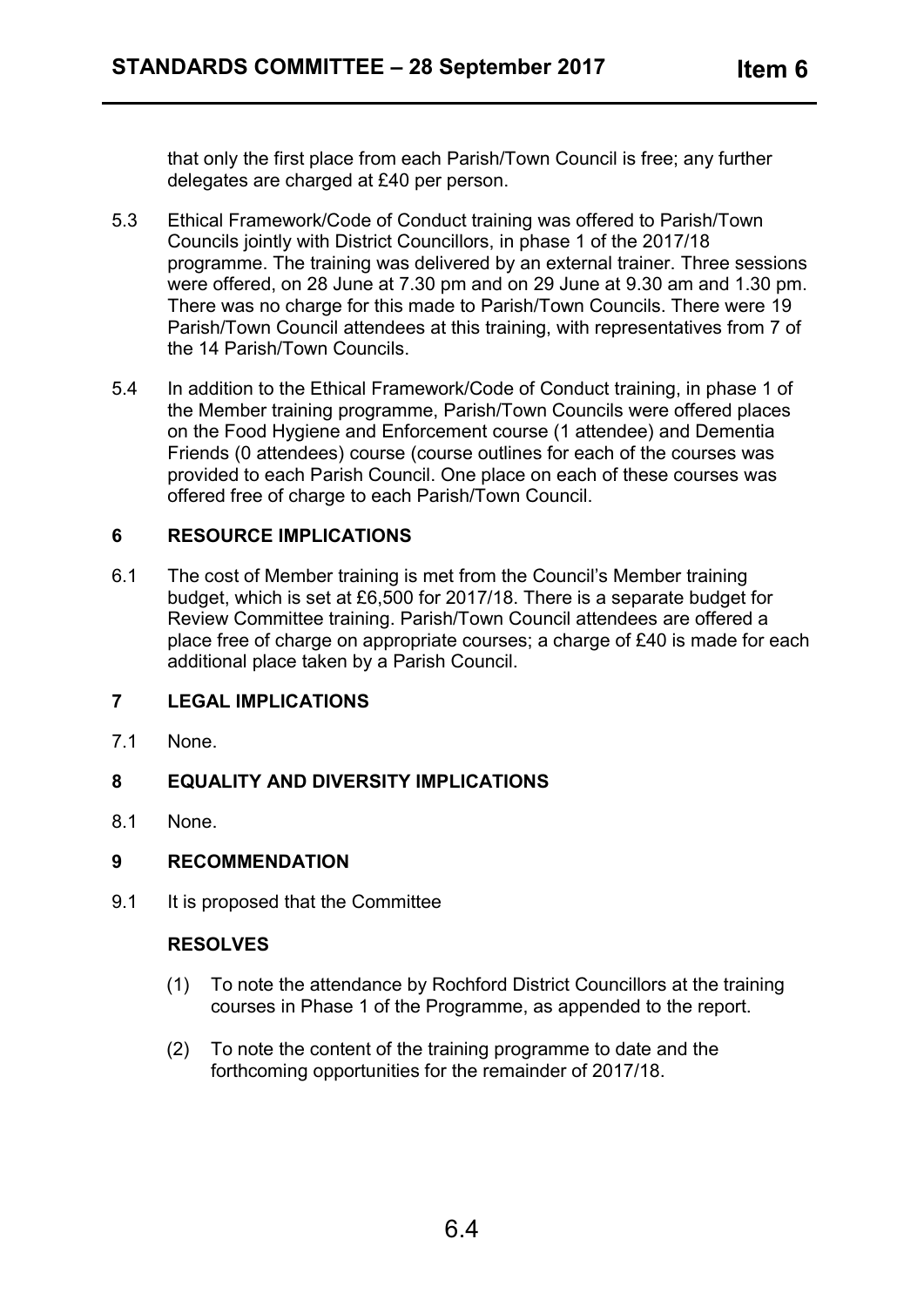that only the first place from each Parish/Town Council is free; any further delegates are charged at £40 per person.

- 5.3 Ethical Framework/Code of Conduct training was offered to Parish/Town Councils jointly with District Councillors, in phase 1 of the 2017/18 programme. The training was delivered by an external trainer. Three sessions were offered, on 28 June at 7.30 pm and on 29 June at 9.30 am and 1.30 pm. There was no charge for this made to Parish/Town Councils. There were 19 Parish/Town Council attendees at this training, with representatives from 7 of the 14 Parish/Town Councils.
- 5.4 In addition to the Ethical Framework/Code of Conduct training, in phase 1 of the Member training programme, Parish/Town Councils were offered places on the Food Hygiene and Enforcement course (1 attendee) and Dementia Friends (0 attendees) course (course outlines for each of the courses was provided to each Parish Council. One place on each of these courses was offered free of charge to each Parish/Town Council.

#### **6 RESOURCE IMPLICATIONS**

6.1 The cost of Member training is met from the Council's Member training budget, which is set at £6,500 for 2017/18. There is a separate budget for Review Committee training. Parish/Town Council attendees are offered a place free of charge on appropriate courses; a charge of £40 is made for each additional place taken by a Parish Council.

# **7 LEGAL IMPLICATIONS**

7.1 None.

# **8 EQUALITY AND DIVERSITY IMPLICATIONS**

8.1 None.

#### **9 RECOMMENDATION**

9.1 It is proposed that the Committee

#### **RESOLVES**

- (1) To note the attendance by Rochford District Councillors at the training courses in Phase 1 of the Programme, as appended to the report.
- (2) To note the content of the training programme to date and the forthcoming opportunities for the remainder of 2017/18.